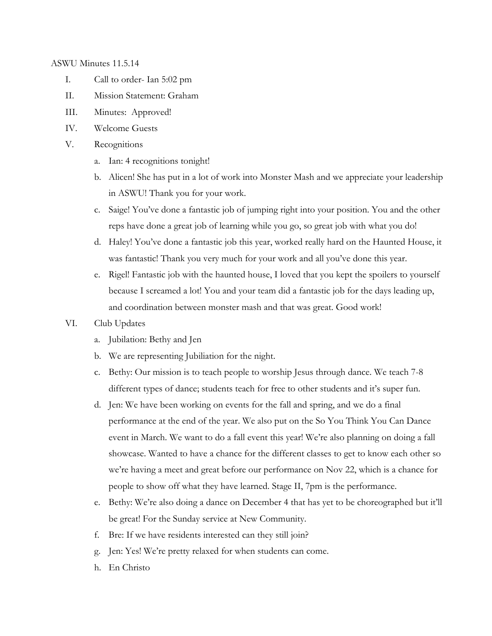ASWU Minutes 11.5.14

- I. Call to order- Ian 5:02 pm
- II. Mission Statement: Graham
- III. Minutes: Approved!
- IV. Welcome Guests
- V. Recognitions
	- a. Ian: 4 recognitions tonight!
	- b. Alicen! She has put in a lot of work into Monster Mash and we appreciate your leadership in ASWU! Thank you for your work.
	- c. Saige! You've done a fantastic job of jumping right into your position. You and the other reps have done a great job of learning while you go, so great job with what you do!
	- d. Haley! You've done a fantastic job this year, worked really hard on the Haunted House, it was fantastic! Thank you very much for your work and all you've done this year.
	- e. Rigel! Fantastic job with the haunted house, I loved that you kept the spoilers to yourself because I screamed a lot! You and your team did a fantastic job for the days leading up, and coordination between monster mash and that was great. Good work!
- VI. Club Updates
	- a. Jubilation: Bethy and Jen
	- b. We are representing Jubiliation for the night.
	- c. Bethy: Our mission is to teach people to worship Jesus through dance. We teach 7-8 different types of dance; students teach for free to other students and it's super fun.
	- d. Jen: We have been working on events for the fall and spring, and we do a final performance at the end of the year. We also put on the So You Think You Can Dance event in March. We want to do a fall event this year! We're also planning on doing a fall showcase. Wanted to have a chance for the different classes to get to know each other so we're having a meet and great before our performance on Nov 22, which is a chance for people to show off what they have learned. Stage II, 7pm is the performance.
	- e. Bethy: We're also doing a dance on December 4 that has yet to be choreographed but it'll be great! For the Sunday service at New Community.
	- f. Bre: If we have residents interested can they still join?
	- g. Jen: Yes! We're pretty relaxed for when students can come.
	- h. En Christo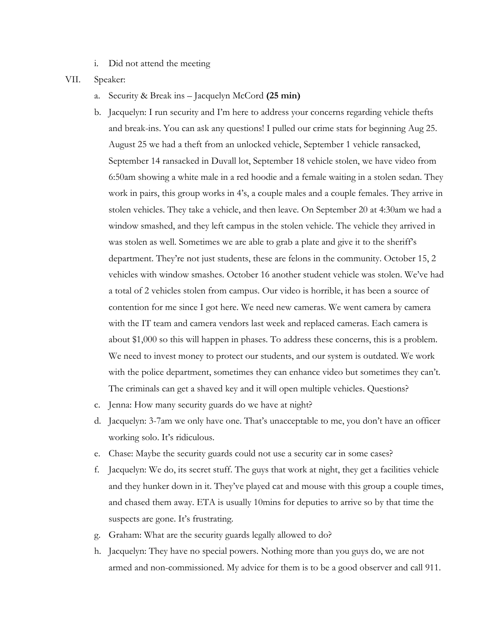i. Did not attend the meeting

VII. Speaker:

- a. Security & Break ins Jacquelyn McCord **(25 min)**
- b. Jacquelyn: I run security and I'm here to address your concerns regarding vehicle thefts and break-ins. You can ask any questions! I pulled our crime stats for beginning Aug 25. August 25 we had a theft from an unlocked vehicle, September 1 vehicle ransacked, September 14 ransacked in Duvall lot, September 18 vehicle stolen, we have video from 6:50am showing a white male in a red hoodie and a female waiting in a stolen sedan. They work in pairs, this group works in 4's, a couple males and a couple females. They arrive in stolen vehicles. They take a vehicle, and then leave. On September 20 at 4:30am we had a window smashed, and they left campus in the stolen vehicle. The vehicle they arrived in was stolen as well. Sometimes we are able to grab a plate and give it to the sheriff's department. They're not just students, these are felons in the community. October 15, 2 vehicles with window smashes. October 16 another student vehicle was stolen. We've had a total of 2 vehicles stolen from campus. Our video is horrible, it has been a source of contention for me since I got here. We need new cameras. We went camera by camera with the IT team and camera vendors last week and replaced cameras. Each camera is about \$1,000 so this will happen in phases. To address these concerns, this is a problem. We need to invest money to protect our students, and our system is outdated. We work with the police department, sometimes they can enhance video but sometimes they can't. The criminals can get a shaved key and it will open multiple vehicles. Questions?
- c. Jenna: How many security guards do we have at night?
- d. Jacquelyn: 3-7am we only have one. That's unacceptable to me, you don't have an officer working solo. It's ridiculous.
- e. Chase: Maybe the security guards could not use a security car in some cases?
- f. Jacquelyn: We do, its secret stuff. The guys that work at night, they get a facilities vehicle and they hunker down in it. They've played cat and mouse with this group a couple times, and chased them away. ETA is usually 10mins for deputies to arrive so by that time the suspects are gone. It's frustrating.
- g. Graham: What are the security guards legally allowed to do?
- h. Jacquelyn: They have no special powers. Nothing more than you guys do, we are not armed and non-commissioned. My advice for them is to be a good observer and call 911.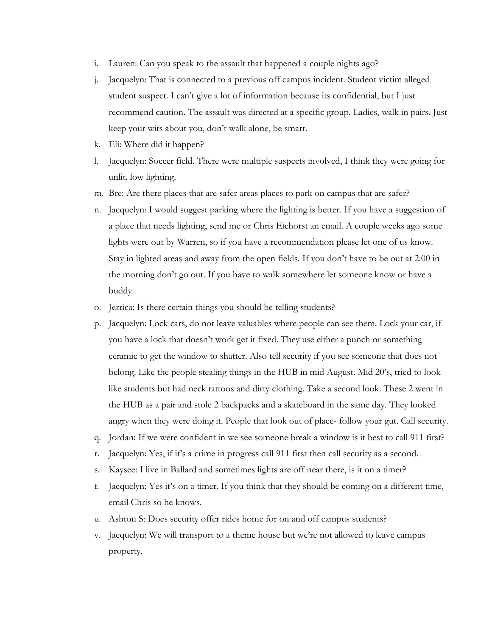- i. Lauren: Can you speak to the assault that happened a couple nights ago?
- j. Jacquelyn: That is connected to a previous off campus incident. Student victim alleged student suspect. I can't give a lot of information because its confidential, but I just recommend caution. The assault was directed at a specific group. Ladies, walk in pairs. Just keep your wits about you, don't walk alone, be smart.
- k. Eli: Where did it happen?
- l. Jacquelyn: Soccer field. There were multiple suspects involved, I think they were going for unlit, low lighting.
- m. Bre: Are there places that are safer areas places to park on campus that are safer?
- n. Jacquelyn: I would suggest parking where the lighting is better. If you have a suggestion of a place that needs lighting, send me or Chris Eichorst an email. A couple weeks ago some lights were out by Warren, so if you have a recommendation please let one of us know. Stay in lighted areas and away from the open fields. If you don't have to be out at 2:00 in the morning don't go out. If you have to walk somewhere let someone know or have a buddy.
- o. Jerrica: Is there certain things you should be telling students?
- p. Jacquelyn: Lock cars, do not leave valuables where people can see them. Lock your car, if you have a lock that doesn't work get it fixed. They use either a punch or something ceramic to get the window to shatter. Also tell security if you see someone that does not belong. Like the people stealing things in the HUB in mid August. Mid 20's, tried to look like students but had neck tattoos and dirty clothing. Take a second look. These 2 went in the HUB as a pair and stole 2 backpacks and a skateboard in the same day. They looked angry when they were doing it. People that look out of place- follow your gut. Call security.
- q. Jordan: If we were confident in we see someone break a window is it best to call 911 first?
- r. Jacquelyn: Yes, if it's a crime in progress call 911 first then call security as a second.
- s. Kaysee: I live in Ballard and sometimes lights are off near there, is it on a timer?
- t. Jacquelyn: Yes it's on a timer. If you think that they should be coming on a different time, email Chris so he knows.
- u. Ashton S: Does security offer rides home for on and off campus students?
- v. Jacquelyn: We will transport to a theme house but we're not allowed to leave campus property.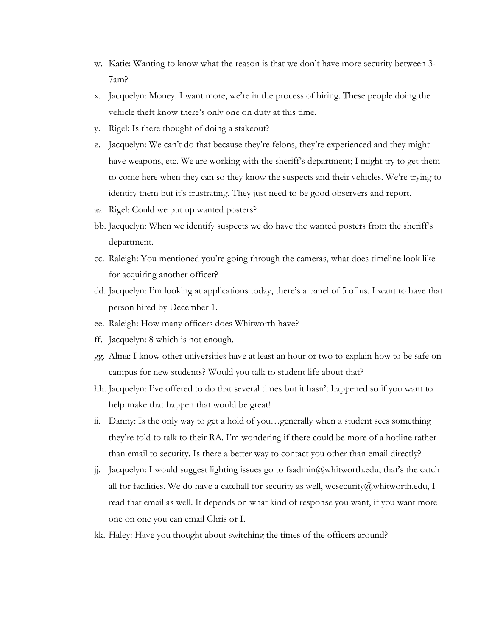- w. Katie: Wanting to know what the reason is that we don't have more security between 3- 7am?
- x. Jacquelyn: Money. I want more, we're in the process of hiring. These people doing the vehicle theft know there's only one on duty at this time.
- y. Rigel: Is there thought of doing a stakeout?
- z. Jacquelyn: We can't do that because they're felons, they're experienced and they might have weapons, etc. We are working with the sheriff's department; I might try to get them to come here when they can so they know the suspects and their vehicles. We're trying to identify them but it's frustrating. They just need to be good observers and report.
- aa. Rigel: Could we put up wanted posters?
- bb. Jacquelyn: When we identify suspects we do have the wanted posters from the sheriff's department.
- cc. Raleigh: You mentioned you're going through the cameras, what does timeline look like for acquiring another officer?
- dd. Jacquelyn: I'm looking at applications today, there's a panel of 5 of us. I want to have that person hired by December 1.
- ee. Raleigh: How many officers does Whitworth have?
- ff. Jacquelyn: 8 which is not enough.
- gg. Alma: I know other universities have at least an hour or two to explain how to be safe on campus for new students? Would you talk to student life about that?
- hh. Jacquelyn: I've offered to do that several times but it hasn't happened so if you want to help make that happen that would be great!
- ii. Danny: Is the only way to get a hold of you…generally when a student sees something they're told to talk to their RA. I'm wondering if there could be more of a hotline rather than email to security. Is there a better way to contact you other than email directly?
- j. Jacquelyn: I would suggest lighting issues go to  $f$ sadmin@whitworth.edu, that's the catch all for facilities. We do have a catchall for security as well,  $w\text{csecurity}(a)$ whitworth.edu, I read that email as well. It depends on what kind of response you want, if you want more one on one you can email Chris or I.
- kk. Haley: Have you thought about switching the times of the officers around?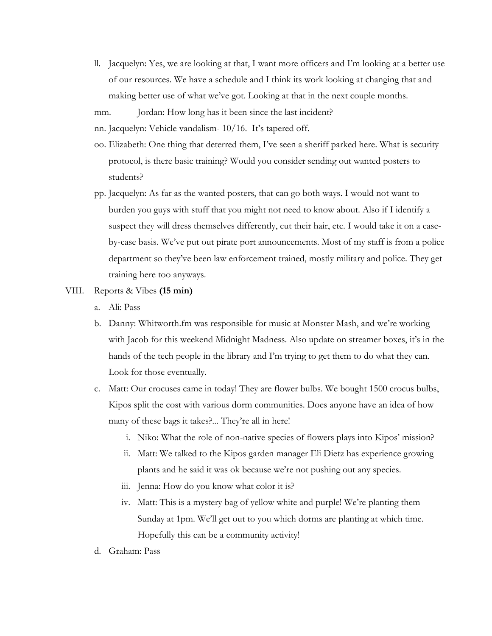- ll. Jacquelyn: Yes, we are looking at that, I want more officers and I'm looking at a better use of our resources. We have a schedule and I think its work looking at changing that and making better use of what we've got. Looking at that in the next couple months.
- mm. Jordan: How long has it been since the last incident?
- nn. Jacquelyn: Vehicle vandalism- 10/16. It's tapered off.
- oo. Elizabeth: One thing that deterred them, I've seen a sheriff parked here. What is security protocol, is there basic training? Would you consider sending out wanted posters to students?
- pp. Jacquelyn: As far as the wanted posters, that can go both ways. I would not want to burden you guys with stuff that you might not need to know about. Also if I identify a suspect they will dress themselves differently, cut their hair, etc. I would take it on a caseby-case basis. We've put out pirate port announcements. Most of my staff is from a police department so they've been law enforcement trained, mostly military and police. They get training here too anyways.

## VIII. Reports & Vibes **(15 min)**

- a. Ali: Pass
- b. Danny: Whitworth.fm was responsible for music at Monster Mash, and we're working with Jacob for this weekend Midnight Madness. Also update on streamer boxes, it's in the hands of the tech people in the library and I'm trying to get them to do what they can. Look for those eventually.
- c. Matt: Our crocuses came in today! They are flower bulbs. We bought 1500 crocus bulbs, Kipos split the cost with various dorm communities. Does anyone have an idea of how many of these bags it takes?... They're all in here!
	- i. Niko: What the role of non-native species of flowers plays into Kipos' mission?
	- ii. Matt: We talked to the Kipos garden manager Eli Dietz has experience growing plants and he said it was ok because we're not pushing out any species.
	- iii. Jenna: How do you know what color it is?
	- iv. Matt: This is a mystery bag of yellow white and purple! We're planting them Sunday at 1pm. We'll get out to you which dorms are planting at which time. Hopefully this can be a community activity!
- d. Graham: Pass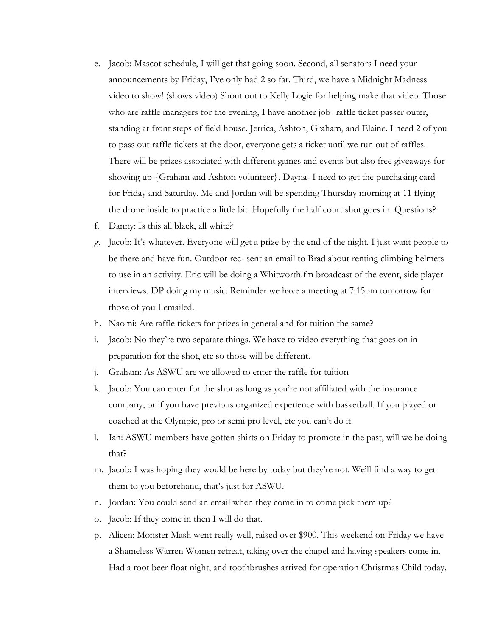- e. Jacob: Mascot schedule, I will get that going soon. Second, all senators I need your announcements by Friday, I've only had 2 so far. Third, we have a Midnight Madness video to show! (shows video) Shout out to Kelly Logie for helping make that video. Those who are raffle managers for the evening, I have another job- raffle ticket passer outer, standing at front steps of field house. Jerrica, Ashton, Graham, and Elaine. I need 2 of you to pass out raffle tickets at the door, everyone gets a ticket until we run out of raffles. There will be prizes associated with different games and events but also free giveaways for showing up {Graham and Ashton volunteer}. Dayna- I need to get the purchasing card for Friday and Saturday. Me and Jordan will be spending Thursday morning at 11 flying the drone inside to practice a little bit. Hopefully the half court shot goes in. Questions?
- f. Danny: Is this all black, all white?
- g. Jacob: It's whatever. Everyone will get a prize by the end of the night. I just want people to be there and have fun. Outdoor rec- sent an email to Brad about renting climbing helmets to use in an activity. Eric will be doing a Whitworth.fm broadcast of the event, side player interviews. DP doing my music. Reminder we have a meeting at 7:15pm tomorrow for those of you I emailed.
- h. Naomi: Are raffle tickets for prizes in general and for tuition the same?
- i. Jacob: No they're two separate things. We have to video everything that goes on in preparation for the shot, etc so those will be different.
- j. Graham: As ASWU are we allowed to enter the raffle for tuition
- k. Jacob: You can enter for the shot as long as you're not affiliated with the insurance company, or if you have previous organized experience with basketball. If you played or coached at the Olympic, pro or semi pro level, etc you can't do it.
- l. Ian: ASWU members have gotten shirts on Friday to promote in the past, will we be doing that?
- m. Jacob: I was hoping they would be here by today but they're not. We'll find a way to get them to you beforehand, that's just for ASWU.
- n. Jordan: You could send an email when they come in to come pick them up?
- o. Jacob: If they come in then I will do that.
- p. Alicen: Monster Mash went really well, raised over \$900. This weekend on Friday we have a Shameless Warren Women retreat, taking over the chapel and having speakers come in. Had a root beer float night, and toothbrushes arrived for operation Christmas Child today.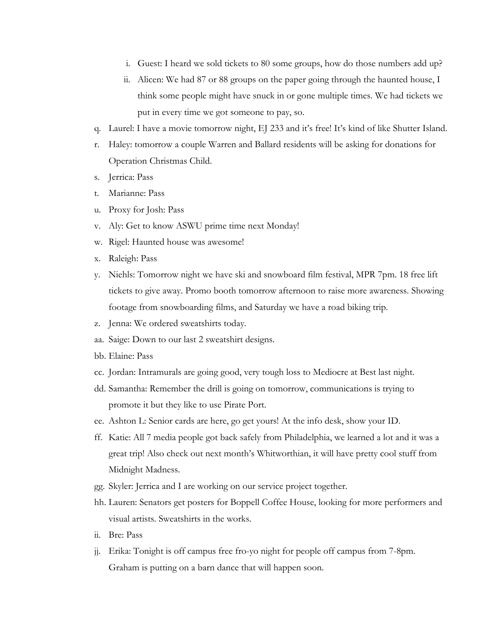- i. Guest: I heard we sold tickets to 80 some groups, how do those numbers add up?
- ii. Alicen: We had 87 or 88 groups on the paper going through the haunted house, I think some people might have snuck in or gone multiple times. We had tickets we put in every time we got someone to pay, so.
- q. Laurel: I have a movie tomorrow night, EJ 233 and it's free! It's kind of like Shutter Island.
- r. Haley: tomorrow a couple Warren and Ballard residents will be asking for donations for Operation Christmas Child.
- s. Jerrica: Pass
- t. Marianne: Pass
- u. Proxy for Josh: Pass
- v. Aly: Get to know ASWU prime time next Monday!
- w. Rigel: Haunted house was awesome!
- x. Raleigh: Pass
- y. Niehls: Tomorrow night we have ski and snowboard film festival, MPR 7pm. 18 free lift tickets to give away. Promo booth tomorrow afternoon to raise more awareness. Showing footage from snowboarding films, and Saturday we have a road biking trip.
- z. Jenna: We ordered sweatshirts today.
- aa. Saige: Down to our last 2 sweatshirt designs.
- bb. Elaine: Pass
- cc. Jordan: Intramurals are going good, very tough loss to Mediocre at Best last night.
- dd. Samantha: Remember the drill is going on tomorrow, communications is trying to promote it but they like to use Pirate Port.
- ee. Ashton L: Senior cards are here, go get yours! At the info desk, show your ID.
- ff. Katie: All 7 media people got back safely from Philadelphia, we learned a lot and it was a great trip! Also check out next month's Whitworthian, it will have pretty cool stuff from Midnight Madness.
- gg. Skyler: Jerrica and I are working on our service project together.
- hh. Lauren: Senators get posters for Boppell Coffee House, looking for more performers and visual artists. Sweatshirts in the works.
- ii. Bre: Pass
- jj. Erika: Tonight is off campus free fro-yo night for people off campus from 7-8pm. Graham is putting on a barn dance that will happen soon.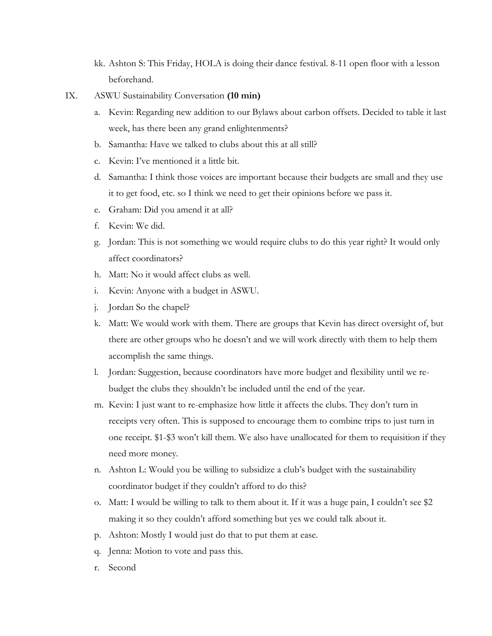- kk. Ashton S: This Friday, HOLA is doing their dance festival. 8-11 open floor with a lesson beforehand.
- IX. ASWU Sustainability Conversation **(10 min)**
	- a. Kevin: Regarding new addition to our Bylaws about carbon offsets. Decided to table it last week, has there been any grand enlightenments?
	- b. Samantha: Have we talked to clubs about this at all still?
	- c. Kevin: I've mentioned it a little bit.
	- d. Samantha: I think those voices are important because their budgets are small and they use it to get food, etc. so I think we need to get their opinions before we pass it.
	- e. Graham: Did you amend it at all?
	- f. Kevin: We did.
	- g. Jordan: This is not something we would require clubs to do this year right? It would only affect coordinators?
	- h. Matt: No it would affect clubs as well.
	- i. Kevin: Anyone with a budget in ASWU.
	- j. Jordan So the chapel?
	- k. Matt: We would work with them. There are groups that Kevin has direct oversight of, but there are other groups who he doesn't and we will work directly with them to help them accomplish the same things.
	- l. Jordan: Suggestion, because coordinators have more budget and flexibility until we rebudget the clubs they shouldn't be included until the end of the year.
	- m. Kevin: I just want to re-emphasize how little it affects the clubs. They don't turn in receipts very often. This is supposed to encourage them to combine trips to just turn in one receipt. \$1-\$3 won't kill them. We also have unallocated for them to requisition if they need more money.
	- n. Ashton L: Would you be willing to subsidize a club's budget with the sustainability coordinator budget if they couldn't afford to do this?
	- o. Matt: I would be willing to talk to them about it. If it was a huge pain, I couldn't see \$2 making it so they couldn't afford something but yes we could talk about it.
	- p. Ashton: Mostly I would just do that to put them at ease.
	- q. Jenna: Motion to vote and pass this.
	- r. Second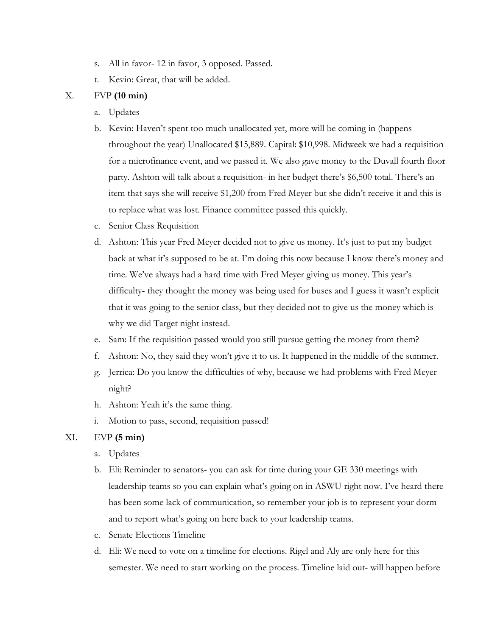- s. All in favor- 12 in favor, 3 opposed. Passed.
- t. Kevin: Great, that will be added.

## X. FVP **(10 min)**

- a. Updates
- b. Kevin: Haven't spent too much unallocated yet, more will be coming in (happens throughout the year) Unallocated \$15,889. Capital: \$10,998. Midweek we had a requisition for a microfinance event, and we passed it. We also gave money to the Duvall fourth floor party. Ashton will talk about a requisition- in her budget there's \$6,500 total. There's an item that says she will receive \$1,200 from Fred Meyer but she didn't receive it and this is to replace what was lost. Finance committee passed this quickly.
- c. Senior Class Requisition
- d. Ashton: This year Fred Meyer decided not to give us money. It's just to put my budget back at what it's supposed to be at. I'm doing this now because I know there's money and time. We've always had a hard time with Fred Meyer giving us money. This year's difficulty- they thought the money was being used for buses and I guess it wasn't explicit that it was going to the senior class, but they decided not to give us the money which is why we did Target night instead.
- e. Sam: If the requisition passed would you still pursue getting the money from them?
- f. Ashton: No, they said they won't give it to us. It happened in the middle of the summer.
- g. Jerrica: Do you know the difficulties of why, because we had problems with Fred Meyer night?
- h. Ashton: Yeah it's the same thing.
- i. Motion to pass, second, requisition passed!

## XI. EVP **(5 min)**

- a. Updates
- b. Eli: Reminder to senators- you can ask for time during your GE 330 meetings with leadership teams so you can explain what's going on in ASWU right now. I've heard there has been some lack of communication, so remember your job is to represent your dorm and to report what's going on here back to your leadership teams.
- c. Senate Elections Timeline
- d. Eli: We need to vote on a timeline for elections. Rigel and Aly are only here for this semester. We need to start working on the process. Timeline laid out- will happen before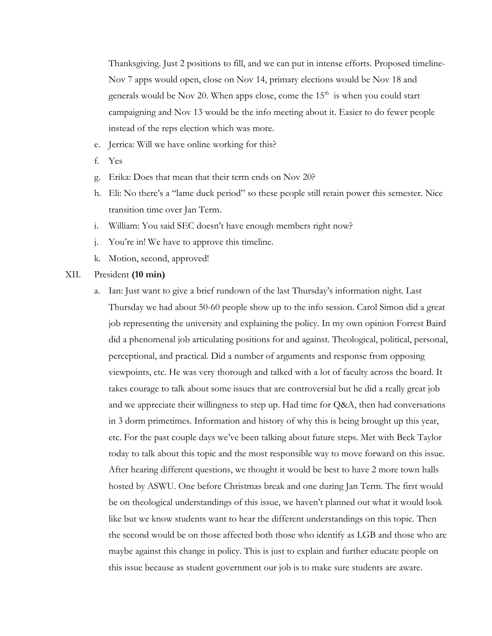Thanksgiving. Just 2 positions to fill, and we can put in intense efforts. Proposed timeline-Nov 7 apps would open, close on Nov 14, primary elections would be Nov 18 and generals would be Nov 20. When apps close, come the 15<sup>th</sup> is when you could start campaigning and Nov 13 would be the info meeting about it. Easier to do fewer people instead of the reps election which was more.

- e. Jerrica: Will we have online working for this?
- f. Yes
- g. Erika: Does that mean that their term ends on Nov 20?
- h. Eli: No there's a "lame duck period" so these people still retain power this semester. Nice transition time over Jan Term.
- i. William: You said SEC doesn't have enough members right now?
- j. You're in! We have to approve this timeline.
- k. Motion, second, approved!
- XII. President **(10 min)**
	- a. Ian: Just want to give a brief rundown of the last Thursday's information night. Last Thursday we had about 50-60 people show up to the info session. Carol Simon did a great job representing the university and explaining the policy. In my own opinion Forrest Baird did a phenomenal job articulating positions for and against. Theological, political, personal, perceptional, and practical. Did a number of arguments and response from opposing viewpoints, etc. He was very thorough and talked with a lot of faculty across the board. It takes courage to talk about some issues that are controversial but he did a really great job and we appreciate their willingness to step up. Had time for Q&A, then had conversations in 3 dorm primetimes. Information and history of why this is being brought up this year, etc. For the past couple days we've been talking about future steps. Met with Beck Taylor today to talk about this topic and the most responsible way to move forward on this issue. After hearing different questions, we thought it would be best to have 2 more town halls hosted by ASWU. One before Christmas break and one during Jan Term. The first would be on theological understandings of this issue, we haven't planned out what it would look like but we know students want to hear the different understandings on this topic. Then the second would be on those affected both those who identify as LGB and those who are maybe against this change in policy. This is just to explain and further educate people on this issue because as student government our job is to make sure students are aware.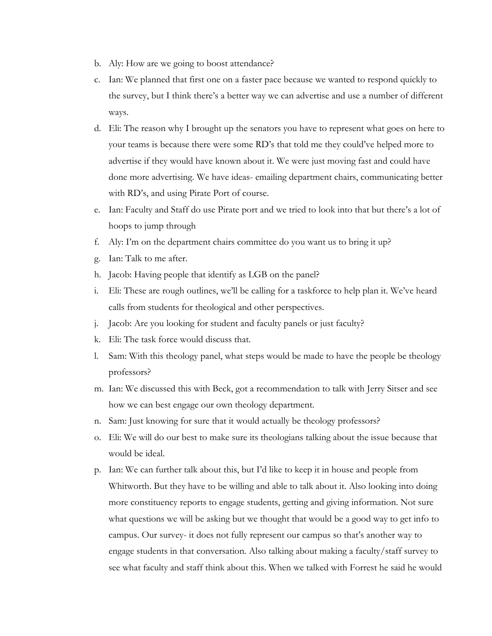- b. Aly: How are we going to boost attendance?
- c. Ian: We planned that first one on a faster pace because we wanted to respond quickly to the survey, but I think there's a better way we can advertise and use a number of different ways.
- d. Eli: The reason why I brought up the senators you have to represent what goes on here to your teams is because there were some RD's that told me they could've helped more to advertise if they would have known about it. We were just moving fast and could have done more advertising. We have ideas- emailing department chairs, communicating better with RD's, and using Pirate Port of course.
- e. Ian: Faculty and Staff do use Pirate port and we tried to look into that but there's a lot of hoops to jump through
- f. Aly: I'm on the department chairs committee do you want us to bring it up?
- g. Ian: Talk to me after.
- h. Jacob: Having people that identify as LGB on the panel?
- i. Eli: These are rough outlines, we'll be calling for a taskforce to help plan it. We've heard calls from students for theological and other perspectives.
- j. Jacob: Are you looking for student and faculty panels or just faculty?
- k. Eli: The task force would discuss that.
- l. Sam: With this theology panel, what steps would be made to have the people be theology professors?
- m. Ian: We discussed this with Beck, got a recommendation to talk with Jerry Sitser and see how we can best engage our own theology department.
- n. Sam: Just knowing for sure that it would actually be theology professors?
- o. Eli: We will do our best to make sure its theologians talking about the issue because that would be ideal.
- p. Ian: We can further talk about this, but I'd like to keep it in house and people from Whitworth. But they have to be willing and able to talk about it. Also looking into doing more constituency reports to engage students, getting and giving information. Not sure what questions we will be asking but we thought that would be a good way to get info to campus. Our survey- it does not fully represent our campus so that's another way to engage students in that conversation. Also talking about making a faculty/staff survey to see what faculty and staff think about this. When we talked with Forrest he said he would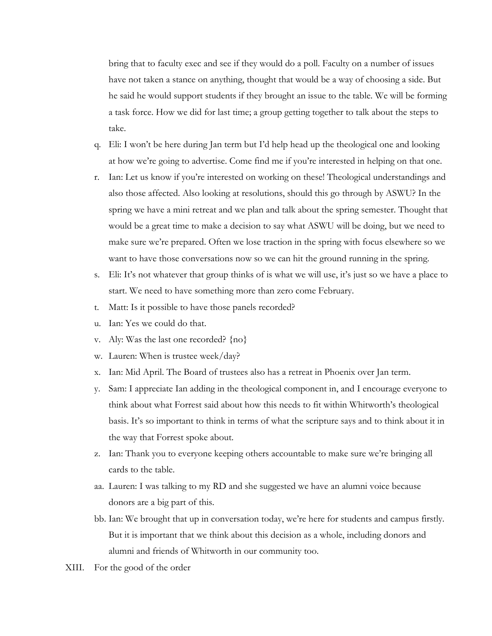bring that to faculty exec and see if they would do a poll. Faculty on a number of issues have not taken a stance on anything, thought that would be a way of choosing a side. But he said he would support students if they brought an issue to the table. We will be forming a task force. How we did for last time; a group getting together to talk about the steps to take.

- q. Eli: I won't be here during Jan term but I'd help head up the theological one and looking at how we're going to advertise. Come find me if you're interested in helping on that one.
- r. Ian: Let us know if you're interested on working on these! Theological understandings and also those affected. Also looking at resolutions, should this go through by ASWU? In the spring we have a mini retreat and we plan and talk about the spring semester. Thought that would be a great time to make a decision to say what ASWU will be doing, but we need to make sure we're prepared. Often we lose traction in the spring with focus elsewhere so we want to have those conversations now so we can hit the ground running in the spring.
- s. Eli: It's not whatever that group thinks of is what we will use, it's just so we have a place to start. We need to have something more than zero come February.
- t. Matt: Is it possible to have those panels recorded?
- u. Ian: Yes we could do that.
- v. Aly: Was the last one recorded? {no}
- w. Lauren: When is trustee week/day?
- x. Ian: Mid April. The Board of trustees also has a retreat in Phoenix over Jan term.
- y. Sam: I appreciate Ian adding in the theological component in, and I encourage everyone to think about what Forrest said about how this needs to fit within Whitworth's theological basis. It's so important to think in terms of what the scripture says and to think about it in the way that Forrest spoke about.
- z. Ian: Thank you to everyone keeping others accountable to make sure we're bringing all cards to the table.
- aa. Lauren: I was talking to my RD and she suggested we have an alumni voice because donors are a big part of this.
- bb. Ian: We brought that up in conversation today, we're here for students and campus firstly. But it is important that we think about this decision as a whole, including donors and alumni and friends of Whitworth in our community too.
- XIII. For the good of the order